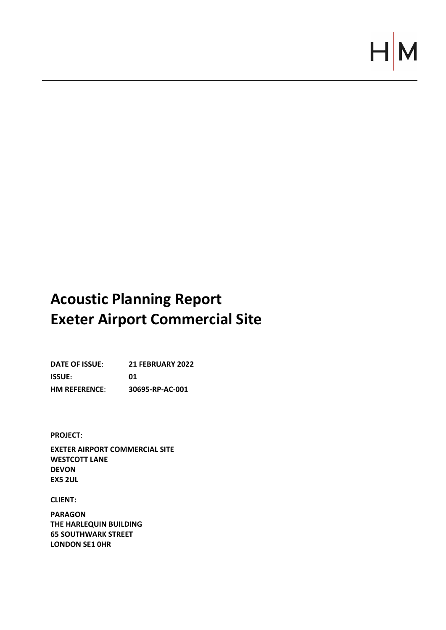# $\vdash$

# **Acoustic Planning Report Exeter Airport Commercial Site**

**DATE OF ISSUE**: **21 FEBRUARY 2022 ISSUE: 01 HM REFERENCE**: **30695-RP-AC-001**

**PROJECT**:

**EXETER AIRPORT COMMERCIAL SITE WESTCOTT LANE DEVON EX5 2UL** 

**CLIENT:**

**PARAGON THE HARLEQUIN BUILDING 65 SOUTHWARK STREET LONDON SE1 0HR**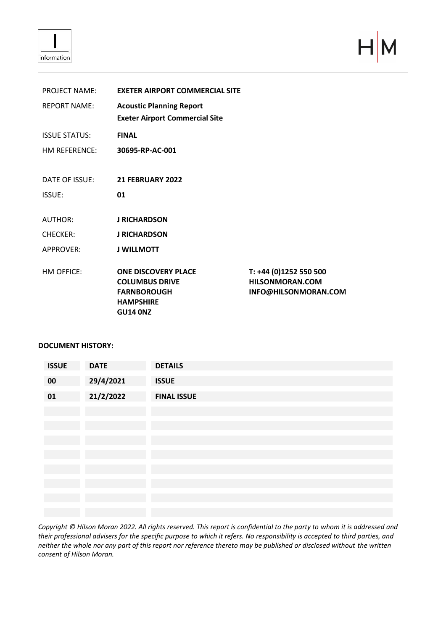

 $H|M$ 

| <b>PROJECT NAME:</b>          | <b>EXETER AIRPORT COMMERCIAL SITE</b>                                                                            |                                                                          |  |
|-------------------------------|------------------------------------------------------------------------------------------------------------------|--------------------------------------------------------------------------|--|
| <b>REPORT NAME:</b>           | <b>Acoustic Planning Report</b><br><b>Exeter Airport Commercial Site</b>                                         |                                                                          |  |
| <b>ISSUE STATUS:</b>          | <b>FINAL</b>                                                                                                     |                                                                          |  |
| HM REFERENCE: 30695-RP-AC-001 |                                                                                                                  |                                                                          |  |
|                               |                                                                                                                  |                                                                          |  |
| DATE OF ISSUE:                | <b>21 FEBRUARY 2022</b>                                                                                          |                                                                          |  |
| <b>ISSUE:</b>                 | 01                                                                                                               |                                                                          |  |
| AUTHOR:                       | <b>J RICHARDSON</b>                                                                                              |                                                                          |  |
| <b>CHECKER:</b>               | <b>J RICHARDSON</b>                                                                                              |                                                                          |  |
| <b>APPROVER:</b>              | <b>J WILLMOTT</b>                                                                                                |                                                                          |  |
| HM OFFICE:                    | <b>ONE DISCOVERY PLACE</b><br><b>COLUMBUS DRIVE</b><br><b>FARNBOROUGH</b><br><b>HAMPSHIRE</b><br><b>GU14 ONZ</b> | T: +44 (0)1252 550 500<br><b>HILSONMORAN.COM</b><br>INFO@HILSONMORAN.COM |  |

## **DOCUMENT HISTORY:**

| <b>ISSUE</b> | <b>DATE</b> | <b>DETAILS</b>     |
|--------------|-------------|--------------------|
| 00           | 29/4/2021   | <b>ISSUE</b>       |
| 01           | 21/2/2022   | <b>FINAL ISSUE</b> |
|              |             |                    |
|              |             |                    |
|              |             |                    |
|              |             |                    |
|              |             |                    |
|              |             |                    |
|              |             |                    |
|              |             |                    |

*Copyright © Hilson Moran 2022. All rights reserved. This report is confidential to the party to whom it is addressed and their professional advisers for the specific purpose to which it refers. No responsibility is accepted to third parties, and neither the whole nor any part of this report nor reference thereto may be published or disclosed without the written consent of Hilson Moran.*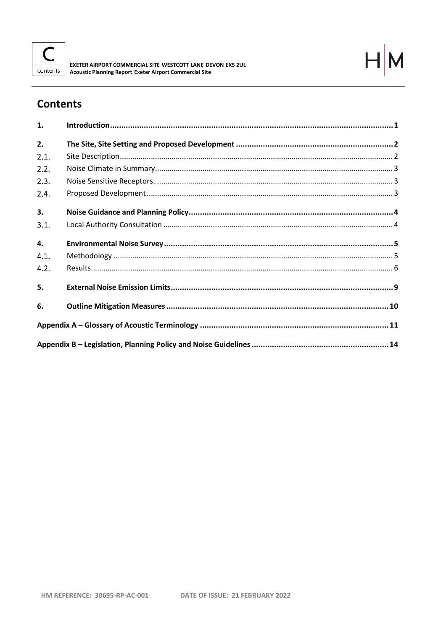



# **Contents**

| 1.   |  |
|------|--|
| 2.   |  |
| 2.1. |  |
| 2.2. |  |
| 2.3. |  |
| 2.4. |  |
| 3.   |  |
| 3.1. |  |
| 4.   |  |
| 4.1. |  |
| 4.2. |  |
| 5.   |  |
| 6.   |  |
|      |  |
|      |  |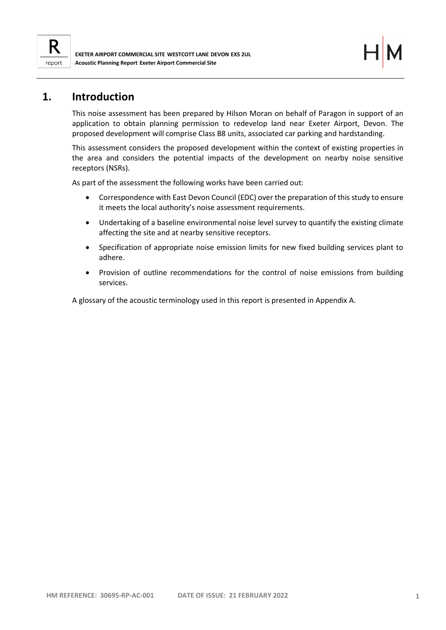

## <span id="page-3-0"></span>**1. Introduction**

This noise assessment has been prepared by Hilson Moran on behalf of Paragon in support of an application to obtain planning permission to redevelop land near Exeter Airport, Devon. The proposed development will comprise Class B8 units, associated car parking and hardstanding.

This assessment considers the proposed development within the context of existing properties in the area and considers the potential impacts of the development on nearby noise sensitive receptors (NSRs).

As part of the assessment the following works have been carried out:

- Correspondence with East Devon Council (EDC) over the preparation of this study to ensure it meets the local authority's noise assessment requirements.
- Undertaking of a baseline environmental noise level survey to quantify the existing climate affecting the site and at nearby sensitive receptors.
- Specification of appropriate noise emission limits for new fixed building services plant to adhere.
- Provision of outline recommendations for the control of noise emissions from building services.

A glossary of the acoustic terminology used in this report is presented in Appendix A.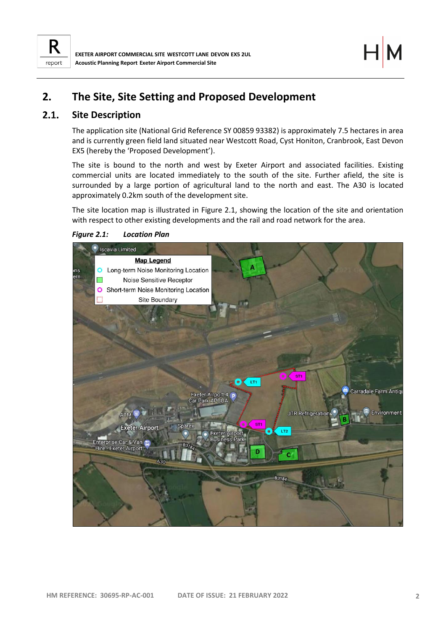

# <span id="page-4-0"></span>**2. The Site, Site Setting and Proposed Development**

#### <span id="page-4-1"></span> $2.1.$ **Site Description**

The application site (National Grid Reference SY 00859 93382) is approximately 7.5 hectares in area and is currently green field land situated near Westcott Road, Cyst Honiton, Cranbrook, East Devon EX5 (hereby the 'Proposed Development').

The site is bound to the north and west by Exeter Airport and associated facilities. Existing commercial units are located immediately to the south of the site. Further afield, the site is surrounded by a large portion of agricultural land to the north and east. The A30 is located approximately 0.2km south of the development site.

The site location map is illustrated in [Figure 2.1,](#page-4-2) showing the location of the site and orientation with respect to other existing developments and the rail and road network for the area.

*Figure 2.1: Location Plan*

<span id="page-4-2"></span>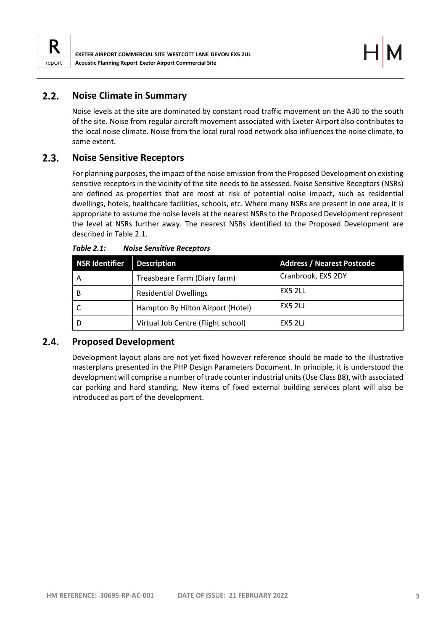

#### <span id="page-5-0"></span> $2.2.$ **Noise Climate in Summary**

Noise levels at the site are dominated by constant road traffic movement on the A30 to the south of the site. Noise from regular aircraft movement associated with Exeter Airport also contributes to the local noise climate. Noise from the local rural road network also influences the noise climate, to some extent.

#### <span id="page-5-1"></span> $2.3.$ **Noise Sensitive Receptors**

For planning purposes, the impact of the noise emission from the Proposed Development on existing sensitive receptors in the vicinity of the site needs to be assessed. Noise Sensitive Receptors (NSRs) are defined as properties that are most at risk of potential noise impact, such as residential dwellings, hotels, healthcare facilities, schools, etc. Where many NSRs are present in one area, it is appropriate to assume the noise levels at the nearest NSRs to the Proposed Development represent the level at NSRs further away. The nearest NSRs identified to the Proposed Development are described in [Table 2.1.](#page-5-3)

| <b>NSR Identifier</b> | <b>Description</b>                 | <b>Address / Nearest Postcode</b> |
|-----------------------|------------------------------------|-----------------------------------|
| A                     | Treasbeare Farm (Diary farm)       | Cranbrook, EX5 2DY                |
| B                     | <b>Residential Dwellings</b>       | EX5 2LL                           |
|                       | Hampton By Hilton Airport (Hotel)  | <b>EX5 2LJ</b>                    |
|                       | Virtual Job Centre (Flight school) | <b>EX5 2LJ</b>                    |

<span id="page-5-3"></span>*Table 2.1: Noise Sensitive Receptors*

#### <span id="page-5-2"></span> $2.4.$ **Proposed Development**

Development layout plans are not yet fixed however reference should be made to the illustrative masterplans presented in the PHP Design Parameters Document. In principle, it is understood the development will comprise a number of trade counter industrial units (Use Class B8), with associated car parking and hard standing. New items of fixed external building services plant will also be introduced as part of the development.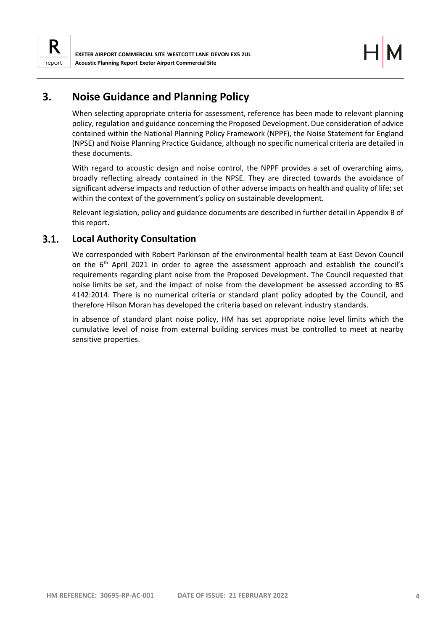

## <span id="page-6-0"></span>**3. Noise Guidance and Planning Policy**

When selecting appropriate criteria for assessment, reference has been made to relevant planning policy, regulation and guidance concerning the Proposed Development. Due consideration of advice contained within the National Planning Policy Framework (NPPF), the Noise Statement for England (NPSE) and Noise Planning Practice Guidance, although no specific numerical criteria are detailed in these documents.

With regard to acoustic design and noise control, the NPPF provides a set of overarching aims, broadly reflecting already contained in the NPSE. They are directed towards the avoidance of significant adverse impacts and reduction of other adverse impacts on health and quality of life; set within the context of the government's policy on sustainable development.

Relevant legislation, policy and guidance documents are described in further detail in Appendix B of this report.

#### <span id="page-6-1"></span> $3.1.$ **Local Authority Consultation**

We corresponded with Robert Parkinson of the environmental health team at East Devon Council on the 6<sup>th</sup> April 2021 in order to agree the assessment approach and establish the council's requirements regarding plant noise from the Proposed Development. The Council requested that noise limits be set, and the impact of noise from the development be assessed according to BS 4142:2014. There is no numerical criteria or standard plant policy adopted by the Council, and therefore Hilson Moran has developed the criteria based on relevant industry standards.

In absence of standard plant noise policy, HM has set appropriate noise level limits which the cumulative level of noise from external building services must be controlled to meet at nearby sensitive properties.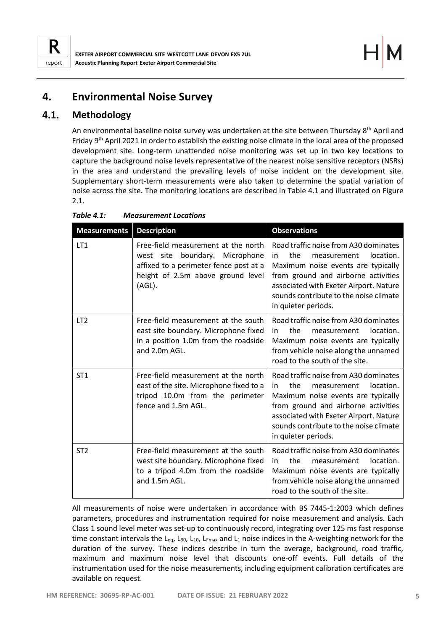

## <span id="page-7-0"></span>**4. Environmental Noise Survey**

#### <span id="page-7-1"></span> $4.1.$ **Methodology**

An environmental baseline noise survey was undertaken at the site between Thursday 8<sup>th</sup> April and Friday 9<sup>th</sup> April 2021 in order to establish the existing noise climate in the local area of the proposed development site. Long-term unattended noise monitoring was set up in two key locations to capture the background noise levels representative of the nearest noise sensitive receptors (NSRs) in the area and understand the prevailing levels of noise incident on the development site. Supplementary short-term measurements were also taken to determine the spatial variation of noise across the site. The monitoring locations are described in [Table 4.1](#page-7-2) and illustrated on [Figure](#page-4-2)  [2.1.](#page-4-2)

| <b>Measurements</b> | <b>Description</b>                                                                                                                                                   | <b>Observations</b>                                                                                                                                                                                                                                                     |
|---------------------|----------------------------------------------------------------------------------------------------------------------------------------------------------------------|-------------------------------------------------------------------------------------------------------------------------------------------------------------------------------------------------------------------------------------------------------------------------|
| LT1                 | Free-field measurement at the north<br>boundary.<br>west site<br>Microphone<br>affixed to a perimeter fence post at a<br>height of 2.5m above ground level<br>(AGL). | Road traffic noise from A30 dominates<br>location.<br>the<br>in<br>measurement<br>Maximum noise events are typically<br>from ground and airborne activities<br>associated with Exeter Airport. Nature<br>sounds contribute to the noise climate<br>in quieter periods.  |
| LT <sub>2</sub>     | Free-field measurement at the south<br>east site boundary. Microphone fixed<br>in a position 1.0m from the roadside<br>and 2.0m AGL.                                 | Road traffic noise from A30 dominates<br>the<br>location.<br>in<br>measurement<br>Maximum noise events are typically<br>from vehicle noise along the unnamed<br>road to the south of the site.                                                                          |
| ST <sub>1</sub>     | Free-field measurement at the north<br>east of the site. Microphone fixed to a<br>tripod 10.0m from the perimeter<br>fence and 1.5m AGL.                             | Road traffic noise from A30 dominates<br>the<br>location.<br>in.<br>measurement<br>Maximum noise events are typically<br>from ground and airborne activities<br>associated with Exeter Airport. Nature<br>sounds contribute to the noise climate<br>in quieter periods. |
| ST <sub>2</sub>     | Free-field measurement at the south<br>west site boundary. Microphone fixed<br>to a tripod 4.0m from the roadside<br>and 1.5m AGL.                                   | Road traffic noise from A30 dominates<br>the<br>location.<br>in<br>measurement<br>Maximum noise events are typically<br>from vehicle noise along the unnamed<br>road to the south of the site.                                                                          |

<span id="page-7-2"></span>*Table 4.1: Measurement Locations*

All measurements of noise were undertaken in accordance with BS 7445-1:2003 which defines parameters, procedures and instrumentation required for noise measurement and analysis. Each Class 1 sound level meter was set-up to continuously record, integrating over 125 ms fast response time constant intervals the L<sub>eq</sub>, L<sub>90</sub>, L<sub>10</sub>, L<sub>Fmax</sub> and L<sub>1</sub> noise indices in the A-weighting network for the duration of the survey. These indices describe in turn the average, background, road traffic, maximum and maximum noise level that discounts one-off events. Full details of the instrumentation used for the noise measurements, including equipment calibration certificates are available on request.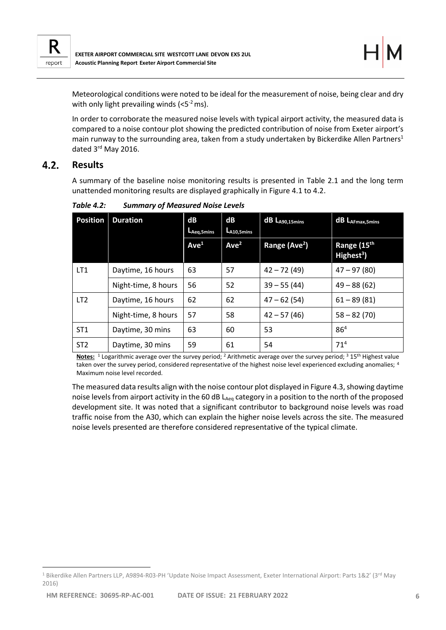

Meteorological conditions were noted to be ideal for the measurement of noise, being clear and dry with only light prevailing winds  $( $5^{-2}$  ms)$ .

In order to corroborate the measured noise levels with typical airport activity, the measured data is compared to a noise contour plot showing the predicted contribution of noise from Exeter airport's main runway to the surrounding area, taken from a study undertaken by Bickerdike Allen Partners<sup>1</sup> dated 3<sup>rd</sup> May 2016.

#### <span id="page-8-0"></span> $4.2.$ **Results**

A summary of the baseline noise monitoring results is presented in [Table 2.1](#page-5-3) and the long term unattended monitoring results are displayed graphically in [Figure 4.1](#page-9-0) to 4.2.

| <b>Position</b> | <b>Duration</b>     | dB<br>L <sub>Aeg,</sub> 5mins | dB<br>$L_{A10,5min}$ | dB LA90,15mins            | dB LAFmax, 5mins                      |
|-----------------|---------------------|-------------------------------|----------------------|---------------------------|---------------------------------------|
|                 |                     | Ave <sup>1</sup>              | Ave <sup>2</sup>     | Range (Ave <sup>2</sup> ) | Range (15th<br>Highest <sup>3</sup> ) |
| LT <sub>1</sub> | Daytime, 16 hours   | 63                            | 57                   | $42 - 72(49)$             | $47 - 97(80)$                         |
|                 | Night-time, 8 hours | 56                            | 52                   | $39 - 55(44)$             | $49 - 88(62)$                         |
| LT <sub>2</sub> | Daytime, 16 hours   | 62                            | 62                   | $47 - 62(54)$             | $61 - 89(81)$                         |
|                 | Night-time, 8 hours | 57                            | 58                   | $42 - 57(46)$             | $58 - 82(70)$                         |
| ST <sub>1</sub> | Daytime, 30 mins    | 63                            | 60                   | 53                        | 86 <sup>4</sup>                       |
| ST <sub>2</sub> | Daytime, 30 mins    | 59                            | 61                   | 54                        | 71 <sup>4</sup>                       |

*Table 4.2: Summary of Measured Noise Levels*

**Notes:** <sup>1</sup> Logarithmic average over the survey period; <sup>2</sup> Arithmetic average over the survey period; <sup>3</sup> 15th Highest value taken over the survey period, considered representative of the highest noise level experienced excluding anomalies; 4 Maximum noise level recorded.

The measured data results align with the noise contour plot displayed in [Figure 4.3,](#page-10-0) showing daytime noise levels from airport activity in the 60 dB L<sub>Aeq</sub> category in a position to the north of the proposed development site. It was noted that a significant contributor to background noise levels was road traffic noise from the A30, which can explain the higher noise levels across the site. The measured noise levels presented are therefore considered representative of the typical climate.

<sup>&</sup>lt;sup>1</sup> Bikerdike Allen Partners LLP, A9894-R03-PH 'Update Noise Impact Assessment, Exeter International Airport: Parts 1&2' (3<sup>rd</sup> May 2016)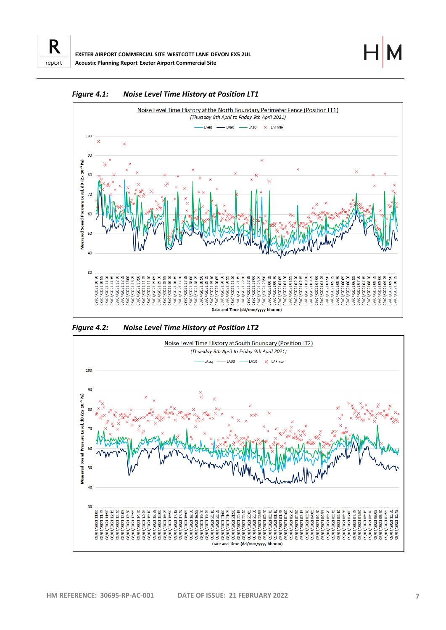



<span id="page-9-0"></span>*Figure 4.1: Noise Level Time History at Position LT1*

*Figure 4.2: Noise Level Time History at Position LT2*

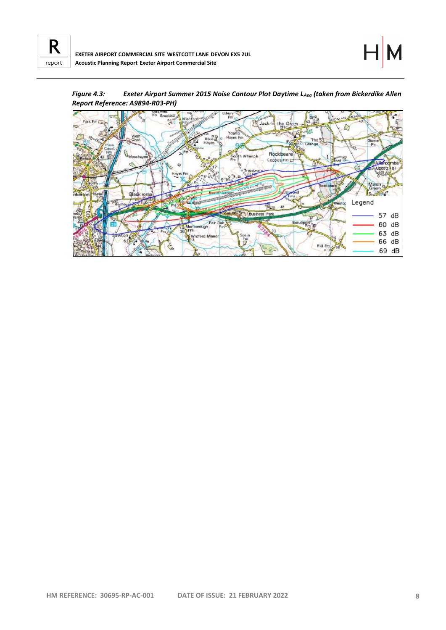

<span id="page-10-0"></span>

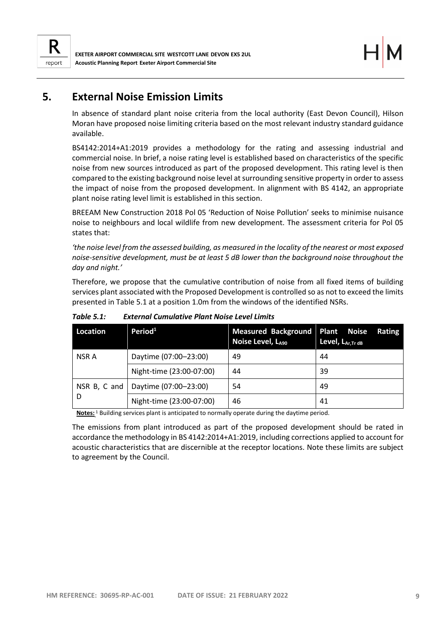

## <span id="page-11-0"></span>**5. External Noise Emission Limits**

In absence of standard plant noise criteria from the local authority (East Devon Council), Hilson Moran have proposed noise limiting criteria based on the most relevant industry standard guidance available.

BS4142:2014+A1:2019 provides a methodology for the rating and assessing industrial and commercial noise. In brief, a noise rating level is established based on characteristics of the specific noise from new sources introduced as part of the proposed development. This rating level is then compared to the existing background noise level at surrounding sensitive property in order to assess the impact of noise from the proposed development. In alignment with BS 4142, an appropriate plant noise rating level limit is established in this section.

BREEAM New Construction 2018 Pol 05 'Reduction of Noise Pollution' seeks to minimise nuisance noise to neighbours and local wildlife from new development. The assessment criteria for Pol 05 states that:

*'the noise level from the assessed building, as measured in the locality of the nearest or most exposed noise-sensitive development, must be at least 5 dB lower than the background noise throughout the day and night.'*

Therefore, we propose that the cumulative contribution of noise from all fixed items of building services plant associated with the Proposed Development is controlled so as not to exceed the limits presented in [Table 5.1](#page-11-1) at a position 1.0m from the windows of the identified NSRs.

| Location     | Period <sup>1</sup>      | <b>Measured Background Plant Noise</b><br>Noise Level, LA90 | <b>Rating</b><br>Level, LAr, Tr dB |
|--------------|--------------------------|-------------------------------------------------------------|------------------------------------|
| NSR A        | Daytime (07:00-23:00)    | 49                                                          | 44                                 |
|              | Night-time (23:00-07:00) | 44                                                          | 39                                 |
| NSR B, C and | Daytime (07:00-23:00)    | 54                                                          | 49                                 |
|              | Night-time (23:00-07:00) | 46                                                          | 41                                 |

<span id="page-11-1"></span>*Table 5.1: External Cumulative Plant Noise Level Limits*

**Notes:** <sup>1</sup> Building services plant is anticipated to normally operate during the daytime period.

The emissions from plant introduced as part of the proposed development should be rated in accordance the methodology in BS 4142:2014+A1:2019, including corrections applied to account for acoustic characteristics that are discernible at the receptor locations. Note these limits are subject to agreement by the Council.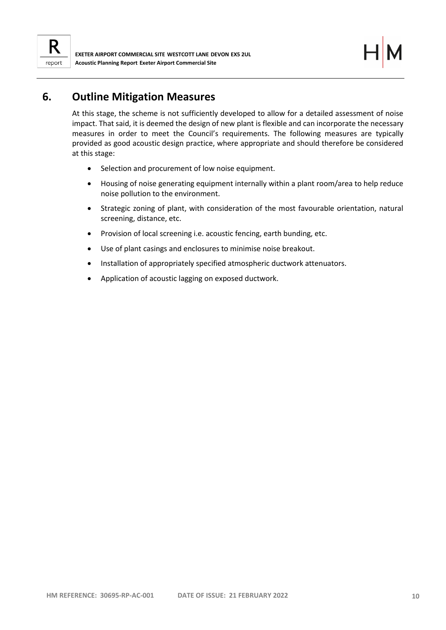

## <span id="page-12-0"></span>**6. Outline Mitigation Measures**

At this stage, the scheme is not sufficiently developed to allow for a detailed assessment of noise impact. That said, it is deemed the design of new plant is flexible and can incorporate the necessary measures in order to meet the Council's requirements. The following measures are typically provided as good acoustic design practice, where appropriate and should therefore be considered at this stage:

- Selection and procurement of low noise equipment.
- Housing of noise generating equipment internally within a plant room/area to help reduce noise pollution to the environment.
- Strategic zoning of plant, with consideration of the most favourable orientation, natural screening, distance, etc.
- Provision of local screening i.e. acoustic fencing, earth bunding, etc.
- Use of plant casings and enclosures to minimise noise breakout.
- Installation of appropriately specified atmospheric ductwork attenuators.
- Application of acoustic lagging on exposed ductwork.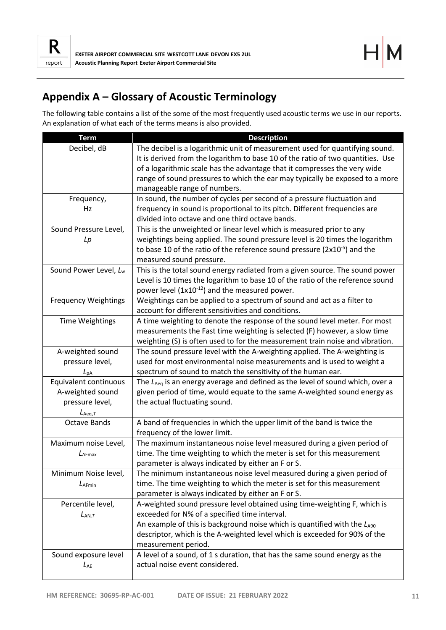

# <span id="page-13-0"></span>**Appendix A – Glossary of Acoustic Terminology**

The following table contains a list of the some of the most frequently used acoustic terms we use in our reports. An explanation of what each of the terms means is also provided.

| <b>Term</b>                       | <b>Description</b>                                                                 |
|-----------------------------------|------------------------------------------------------------------------------------|
| Decibel, dB                       | The decibel is a logarithmic unit of measurement used for quantifying sound.       |
|                                   | It is derived from the logarithm to base 10 of the ratio of two quantities. Use    |
|                                   | of a logarithmic scale has the advantage that it compresses the very wide          |
|                                   | range of sound pressures to which the ear may typically be exposed to a more       |
|                                   | manageable range of numbers.                                                       |
| Frequency,                        | In sound, the number of cycles per second of a pressure fluctuation and            |
| Hz                                | frequency in sound is proportional to its pitch. Different frequencies are         |
|                                   | divided into octave and one third octave bands.                                    |
| Sound Pressure Level,             | This is the unweighted or linear level which is measured prior to any              |
| Lp                                | weightings being applied. The sound pressure level is 20 times the logarithm       |
|                                   | to base 10 of the ratio of the reference sound pressure ( $2x10^{-5}$ ) and the    |
|                                   | measured sound pressure.                                                           |
| Sound Power Level, L <sub>w</sub> | This is the total sound energy radiated from a given source. The sound power       |
|                                   | Level is 10 times the logarithm to base 10 of the ratio of the reference sound     |
|                                   | power level $(1x10^{-12})$ and the measured power.                                 |
| <b>Frequency Weightings</b>       | Weightings can be applied to a spectrum of sound and act as a filter to            |
|                                   | account for different sensitivities and conditions.                                |
| <b>Time Weightings</b>            | A time weighting to denote the response of the sound level meter. For most         |
|                                   | measurements the Fast time weighting is selected (F) however, a slow time          |
|                                   | weighting (S) is often used to for the measurement train noise and vibration.      |
| A-weighted sound                  | The sound pressure level with the A-weighting applied. The A-weighting is          |
| pressure level,                   | used for most environmental noise measurements and is used to weight a             |
| $L_{\rm pA}$                      | spectrum of sound to match the sensitivity of the human ear.                       |
| Equivalent continuous             | The $L_{Aeq}$ is an energy average and defined as the level of sound which, over a |
| A-weighted sound                  | given period of time, would equate to the same A-weighted sound energy as          |
| pressure level,                   | the actual fluctuating sound.                                                      |
| $L_{\text{Aeq},\mathcal{T}}$      |                                                                                    |
| <b>Octave Bands</b>               | A band of frequencies in which the upper limit of the band is twice the            |
|                                   | frequency of the lower limit.                                                      |
| Maximum noise Level,              | The maximum instantaneous noise level measured during a given period of            |
| LAFmax                            | time. The time weighting to which the meter is set for this measurement            |
|                                   | parameter is always indicated by either an F or S.                                 |
| Minimum Noise level,              | The minimum instantaneous noise level measured during a given period of            |
| $L_{\text{AFmin}}$                | time. The time weighting to which the meter is set for this measurement            |
|                                   | parameter is always indicated by either an F or S.                                 |
| Percentile level,                 | A-weighted sound pressure level obtained using time-weighting F, which is          |
| $L_{AN,T}$                        | exceeded for N% of a specified time interval.                                      |
|                                   | An example of this is background noise which is quantified with the $L_{A90}$      |
|                                   | descriptor, which is the A-weighted level which is exceeded for 90% of the         |
|                                   | measurement period.                                                                |
| Sound exposure level              | A level of a sound, of 1 s duration, that has the same sound energy as the         |
| $L_{AE}$                          | actual noise event considered.                                                     |
|                                   |                                                                                    |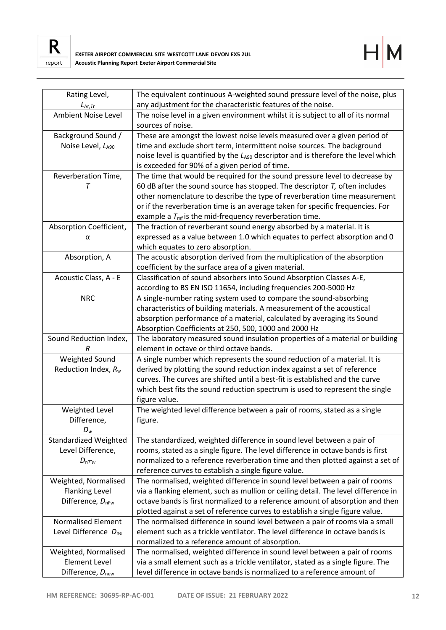



| Rating Level,                                        | The equivalent continuous A-weighted sound pressure level of the noise, plus                                                                                |
|------------------------------------------------------|-------------------------------------------------------------------------------------------------------------------------------------------------------------|
| $L_{\text{Ar},\text{Tr}}$                            | any adjustment for the characteristic features of the noise.                                                                                                |
| <b>Ambient Noise Level</b>                           | The noise level in a given environment whilst it is subject to all of its normal                                                                            |
|                                                      | sources of noise.                                                                                                                                           |
| Background Sound /                                   | These are amongst the lowest noise levels measured over a given period of                                                                                   |
| Noise Level, LA90                                    | time and exclude short term, intermittent noise sources. The background                                                                                     |
|                                                      | noise level is quantified by the LA90 descriptor and is therefore the level which                                                                           |
|                                                      | is exceeded for 90% of a given period of time.                                                                                                              |
| Reverberation Time,                                  | The time that would be required for the sound pressure level to decrease by                                                                                 |
| т                                                    | 60 dB after the sound source has stopped. The descriptor $T$ , often includes                                                                               |
|                                                      | other nomenclature to describe the type of reverberation time measurement                                                                                   |
|                                                      | or if the reverberation time is an average taken for specific frequencies. For                                                                              |
|                                                      | example a $T_{\text{mf}}$ is the mid-frequency reverberation time.                                                                                          |
| Absorption Coefficient,                              | The fraction of reverberant sound energy absorbed by a material. It is                                                                                      |
| α                                                    | expressed as a value between 1.0 which equates to perfect absorption and 0                                                                                  |
|                                                      | which equates to zero absorption.                                                                                                                           |
| Absorption, A                                        | The acoustic absorption derived from the multiplication of the absorption                                                                                   |
|                                                      | coefficient by the surface area of a given material.                                                                                                        |
| Acoustic Class, A - E                                | Classification of sound absorbers into Sound Absorption Classes A-E,                                                                                        |
|                                                      | according to BS EN ISO 11654, including frequencies 200-5000 Hz                                                                                             |
| <b>NRC</b>                                           | A single-number rating system used to compare the sound-absorbing                                                                                           |
|                                                      | characteristics of building materials. A measurement of the acoustical                                                                                      |
|                                                      | absorption performance of a material, calculated by averaging its Sound                                                                                     |
|                                                      | Absorption Coefficients at 250, 500, 1000 and 2000 Hz                                                                                                       |
|                                                      |                                                                                                                                                             |
| Sound Reduction Index,                               | The laboratory measured sound insulation properties of a material or building                                                                               |
| R                                                    | element in octave or third octave bands.                                                                                                                    |
| Weighted Sound                                       | A single number which represents the sound reduction of a material. It is                                                                                   |
| Reduction Index, $R_w$                               | derived by plotting the sound reduction index against a set of reference                                                                                    |
|                                                      | curves. The curves are shifted until a best-fit is established and the curve                                                                                |
|                                                      | which best fits the sound reduction spectrum is used to represent the single                                                                                |
|                                                      | figure value.                                                                                                                                               |
| Weighted Level                                       | The weighted level difference between a pair of rooms, stated as a single                                                                                   |
| Difference,                                          | figure.                                                                                                                                                     |
| $D_w$                                                |                                                                                                                                                             |
| <b>Standardized Weighted</b>                         | The standardized, weighted difference in sound level between a pair of                                                                                      |
| Level Difference,                                    | rooms, stated as a single figure. The level difference in octave bands is first                                                                             |
| $D_{nT'w}$                                           | normalized to a reference reverberation time and then plotted against a set of                                                                              |
|                                                      | reference curves to establish a single figure value.                                                                                                        |
| Weighted, Normalised                                 | The normalised, weighted difference in sound level between a pair of rooms                                                                                  |
| <b>Flanking Level</b>                                | via a flanking element, such as mullion or ceiling detail. The level difference in                                                                          |
| Difference, D <sub>nFw</sub>                         | octave bands is first normalized to a reference amount of absorption and then                                                                               |
|                                                      | plotted against a set of reference curves to establish a single figure value.                                                                               |
| <b>Normalised Element</b>                            | The normalised difference in sound level between a pair of rooms via a small                                                                                |
| Level Difference D <sub>ne</sub>                     | element such as a trickle ventilator. The level difference in octave bands is                                                                               |
|                                                      | normalized to a reference amount of absorption.                                                                                                             |
| Weighted, Normalised                                 | The normalised, weighted difference in sound level between a pair of rooms                                                                                  |
| <b>Element Level</b><br>Difference, $D_{\text{new}}$ | via a small element such as a trickle ventilator, stated as a single figure. The<br>level difference in octave bands is normalized to a reference amount of |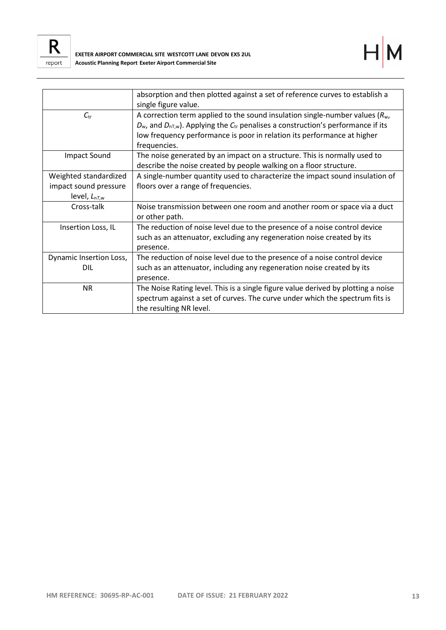



|                         | absorption and then plotted against a set of reference curves to establish a                  |
|-------------------------|-----------------------------------------------------------------------------------------------|
|                         | single figure value.                                                                          |
| $C_{\rm tr}$            | A correction term applied to the sound insulation single-number values ( $R_{w}$ ,            |
|                         | $D_w$ , and $D_{nT,w}$ ). Applying the $C_{tr}$ penalises a construction's performance if its |
|                         | low frequency performance is poor in relation its performance at higher                       |
|                         | frequencies.                                                                                  |
| Impact Sound            | The noise generated by an impact on a structure. This is normally used to                     |
|                         | describe the noise created by people walking on a floor structure.                            |
| Weighted standardized   | A single-number quantity used to characterize the impact sound insulation of                  |
| impact sound pressure   | floors over a range of frequencies.                                                           |
| level, $L_{nT,w}$       |                                                                                               |
| Cross-talk              | Noise transmission between one room and another room or space via a duct                      |
|                         | or other path.                                                                                |
| Insertion Loss, IL      | The reduction of noise level due to the presence of a noise control device                    |
|                         | such as an attenuator, excluding any regeneration noise created by its                        |
|                         | presence.                                                                                     |
| Dynamic Insertion Loss, | The reduction of noise level due to the presence of a noise control device                    |
| DIL                     | such as an attenuator, including any regeneration noise created by its                        |
|                         | presence.                                                                                     |
| <b>NR</b>               | The Noise Rating level. This is a single figure value derived by plotting a noise             |
|                         | spectrum against a set of curves. The curve under which the spectrum fits is                  |
|                         | the resulting NR level.                                                                       |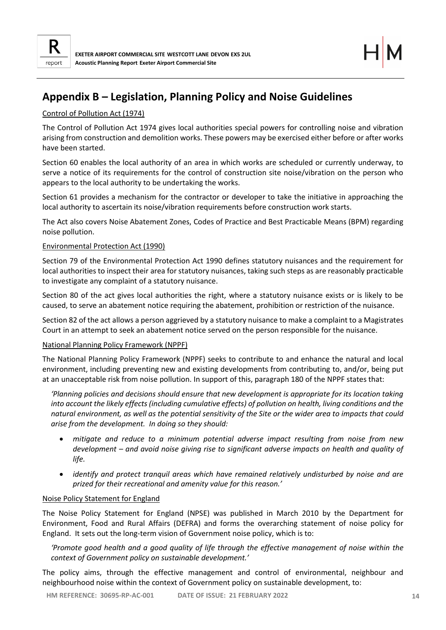

# <span id="page-16-0"></span>**Appendix B – Legislation, Planning Policy and Noise Guidelines**

## Control of Pollution Act (1974)

The Control of Pollution Act 1974 gives local authorities special powers for controlling noise and vibration arising from construction and demolition works. These powers may be exercised either before or after works have been started.

Section 60 enables the local authority of an area in which works are scheduled or currently underway, to serve a notice of its requirements for the control of construction site noise/vibration on the person who appears to the local authority to be undertaking the works.

Section 61 provides a mechanism for the contractor or developer to take the initiative in approaching the local authority to ascertain its noise/vibration requirements before construction work starts.

The Act also covers Noise Abatement Zones, Codes of Practice and Best Practicable Means (BPM) regarding noise pollution.

## Environmental Protection Act (1990)

Section 79 of the Environmental Protection Act 1990 defines statutory nuisances and the requirement for local authorities to inspect their area for statutory nuisances, taking such steps as are reasonably practicable to investigate any complaint of a statutory nuisance.

Section 80 of the act gives local authorities the right, where a statutory nuisance exists or is likely to be caused, to serve an abatement notice requiring the abatement, prohibition or restriction of the nuisance.

Section 82 of the act allows a person aggrieved by a statutory nuisance to make a complaint to a Magistrates Court in an attempt to seek an abatement notice served on the person responsible for the nuisance.

## National Planning Policy Framework (NPPF)

The National Planning Policy Framework (NPPF) seeks to contribute to and enhance the natural and local environment, including preventing new and existing developments from contributing to, and/or, being put at an unacceptable risk from noise pollution. In support of this, paragraph 180 of the NPPF states that:

*'Planning policies and decisions should ensure that new development is appropriate for its location taking into account the likely effects (including cumulative effects) of pollution on health, living conditions and the natural environment, as well as the potential sensitivity of the Site or the wider area to impacts that could arise from the development. In doing so they should:*

- *mitigate and reduce to a minimum potential adverse impact resulting from noise from new development – and avoid noise giving rise to significant adverse impacts on health and quality of life.*
- *identify and protect tranquil areas which have remained relatively undisturbed by noise and are prized for their recreational and amenity value for this reason.'*

## Noise Policy Statement for England

The Noise Policy Statement for England (NPSE) was published in March 2010 by the Department for Environment, Food and Rural Affairs (DEFRA) and forms the overarching statement of noise policy for England. It sets out the long-term vision of Government noise policy, which is to:

*'Promote good health and a good quality of life through the effective management of noise within the context of Government policy on sustainable development.'*

The policy aims, through the effective management and control of environmental, neighbour and neighbourhood noise within the context of Government policy on sustainable development, to: